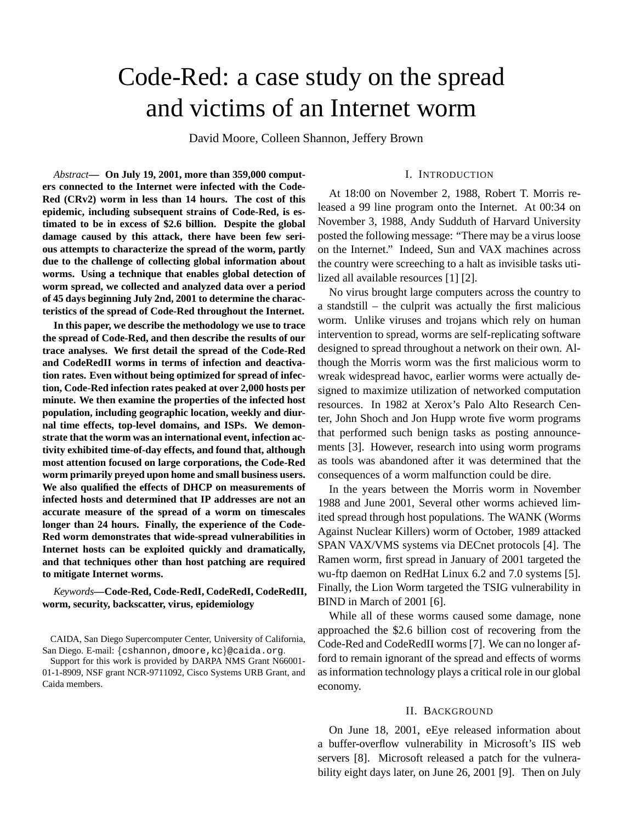# Code-Red: a case study on the spread and victims of an Internet worm

David Moore, Colleen Shannon, Jeffery Brown

*Abstract***— On July 19, 2001, more than 359,000 computers connected to the Internet were infected with the Code-Red (CRv2) worm in less than 14 hours. The cost of this epidemic, including subsequent strains of Code-Red, is estimated to be in excess of \$2.6 billion. Despite the global damage caused by this attack, there have been few serious attempts to characterize the spread of the worm, partly due to the challenge of collecting global information about worms. Using a technique that enables global detection of worm spread, we collected and analyzed data over a period of 45 days beginning July 2nd, 2001 to determine the characteristics of the spread of Code-Red throughout the Internet.**

**In this paper, we describe the methodology we use to trace the spread of Code-Red, and then describe the results of our trace analyses. We first detail the spread of the Code-Red and CodeRedII worms in terms of infection and deactivation rates. Even without being optimized for spread of infection, Code-Red infection rates peaked at over 2,000 hosts per minute. We then examine the properties of the infected host population, including geographic location, weekly and diurnal time effects, top-level domains, and ISPs. We demonstrate that the worm was an international event, infection activity exhibited time-of-day effects, and found that, although most attention focused on large corporations, the Code-Red worm primarily preyed upon home and small business users. We also qualified the effects of DHCP on measurements of infected hosts and determined that IP addresses are not an accurate measure of the spread of a worm on timescales longer than 24 hours. Finally, the experience of the Code-Red worm demonstrates that wide-spread vulnerabilities in Internet hosts can be exploited quickly and dramatically, and that techniques other than host patching are required to mitigate Internet worms.**

*Keywords***—Code-Red, Code-RedI, CodeRedI, CodeRedII, worm, security, backscatter, virus, epidemiology**

Support for this work is provided by DARPA NMS Grant N66001- 01-1-8909, NSF grant NCR-9711092, Cisco Systems URB Grant, and Caida members.

# I. INTRODUCTION

At 18:00 on November 2, 1988, Robert T. Morris released a 99 line program onto the Internet. At 00:34 on November 3, 1988, Andy Sudduth of Harvard University posted the following message: "There may be a virus loose on the Internet." Indeed, Sun and VAX machines across the country were screeching to a halt as invisible tasks utilized all available resources [1] [2].

No virus brought large computers across the country to a standstill – the culprit was actually the first malicious worm. Unlike viruses and trojans which rely on human intervention to spread, worms are self-replicating software designed to spread throughout a network on their own. Although the Morris worm was the first malicious worm to wreak widespread havoc, earlier worms were actually designed to maximize utilization of networked computation resources. In 1982 at Xerox's Palo Alto Research Center, John Shoch and Jon Hupp wrote five worm programs that performed such benign tasks as posting announcements [3]. However, research into using worm programs as tools was abandoned after it was determined that the consequences of a worm malfunction could be dire.

In the years between the Morris worm in November 1988 and June 2001, Several other worms achieved limited spread through host populations. The WANK (Worms Against Nuclear Killers) worm of October, 1989 attacked SPAN VAX/VMS systems via DECnet protocols [4]. The Ramen worm, first spread in January of 2001 targeted the wu-ftp daemon on RedHat Linux 6.2 and 7.0 systems [5]. Finally, the Lion Worm targeted the TSIG vulnerability in BIND in March of 2001 [6].

While all of these worms caused some damage, none approached the \$2.6 billion cost of recovering from the Code-Red and CodeRedII worms [7]. We can no longer afford to remain ignorant of the spread and effects of worms asinformation technology plays a critical role in our global economy.

#### II. BACKGROUND

On June 18, 2001, eEye released information about a buffer-overflow vulnerability in Microsoft's IIS web servers [8]. Microsoft released a patch for the vulnerability eight days later, on June 26, 2001 [9]. Then on July

CAIDA, San Diego Supercomputer Center, University of California, San Diego. E-mail: {cshannon,dmoore,kc}@caida.org.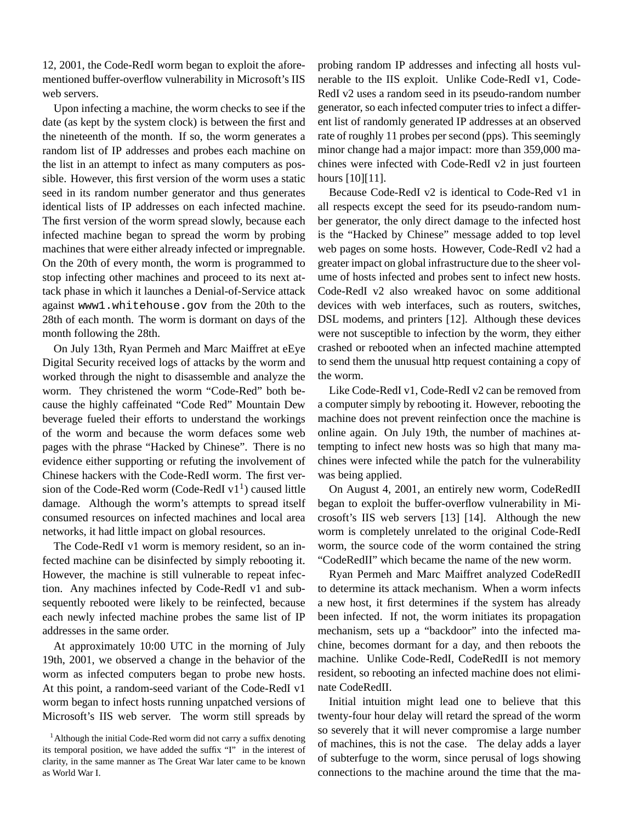12, 2001, the Code-RedI worm began to exploit the aforementioned buffer-overflow vulnerability in Microsoft's IIS web servers.

Upon infecting a machine, the worm checks to see if the date (as kept by the system clock) is between the first and the nineteenth of the month. If so, the worm generates a random list of IP addresses and probes each machine on the list in an attempt to infect as many computers as possible. However, this first version of the worm uses a static seed in its random number generator and thus generates identical lists of IP addresses on each infected machine. The first version of the worm spread slowly, because each infected machine began to spread the worm by probing machines that were either already infected or impregnable. On the 20th of every month, the worm is programmed to stop infecting other machines and proceed to its next attack phase in which it launches a Denial-of-Service attack against www1.whitehouse.gov from the 20th to the 28th of each month. The worm is dormant on days of the month following the 28th.

On July 13th, Ryan Permeh and Marc Maiffret at eEye Digital Security received logs of attacks by the worm and worked through the night to disassemble and analyze the worm. They christened the worm "Code-Red" both because the highly caffeinated "Code Red" Mountain Dew beverage fueled their efforts to understand the workings of the worm and because the worm defaces some web pages with the phrase "Hacked by Chinese". There is no evidence either supporting or refuting the involvement of Chinese hackers with the Code-RedI worm. The first version of the Code-Red worm (Code-RedI  $v1<sup>1</sup>$ ) caused little damage. Although the worm's attempts to spread itself consumed resources on infected machines and local area networks, it had little impact on global resources.

The Code-RedI v1 worm is memory resident, so an infected machine can be disinfected by simply rebooting it. However, the machine is still vulnerable to repeat infection. Any machines infected by Code-RedI v1 and subsequently rebooted were likely to be reinfected, because each newly infected machine probes the same list of IP addresses in the same order.

At approximately 10:00 UTC in the morning of July 19th, 2001, we observed a change in the behavior of the worm as infected computers began to probe new hosts. At this point, a random-seed variant of the Code-RedI v1 worm began to infect hosts running unpatched versions of Microsoft's IIS web server. The worm still spreads by

probing random IP addresses and infecting all hosts vulnerable to the IIS exploit. Unlike Code-RedI v1, Code-RedI v2 uses a random seed in its pseudo-random number generator, so each infected computer tries to infect a different list of randomly generated IP addresses at an observed rate of roughly 11 probes per second (pps). This seemingly minor change had a major impact: more than 359,000 machines were infected with Code-RedI v2 in just fourteen hours [10][11].

Because Code-RedI v2 is identical to Code-Red v1 in all respects except the seed for its pseudo-random number generator, the only direct damage to the infected host is the "Hacked by Chinese" message added to top level web pages on some hosts. However, Code-RedI v2 had a greater impact on global infrastructure due to the sheer volume of hosts infected and probes sent to infect new hosts. Code-RedI v2 also wreaked havoc on some additional devices with web interfaces, such as routers, switches, DSL modems, and printers [12]. Although these devices were not susceptible to infection by the worm, they either crashed or rebooted when an infected machine attempted to send them the unusual http request containing a copy of the worm.

Like Code-RedI v1, Code-RedI v2 can be removed from a computer simply by rebooting it. However, rebooting the machine does not prevent reinfection once the machine is online again. On July 19th, the number of machines attempting to infect new hosts was so high that many machines were infected while the patch for the vulnerability was being applied.

On August 4, 2001, an entirely new worm, CodeRedII began to exploit the buffer-overflow vulnerability in Microsoft's IIS web servers [13] [14]. Although the new worm is completely unrelated to the original Code-RedI worm, the source code of the worm contained the string "CodeRedII" which became the name of the new worm.

Ryan Permeh and Marc Maiffret analyzed CodeRedII to determine its attack mechanism. When a worm infects a new host, it first determines if the system has already been infected. If not, the worm initiates its propagation mechanism, sets up a "backdoor" into the infected machine, becomes dormant for a day, and then reboots the machine. Unlike Code-RedI, CodeRedII is not memory resident, so rebooting an infected machine does not eliminate CodeRedII.

Initial intuition might lead one to believe that this twenty-four hour delay will retard the spread of the worm so severely that it will never compromise a large number of machines, this is not the case. The delay adds a layer of subterfuge to the worm, since perusal of logs showing connections to the machine around the time that the ma-

 $1$ Although the initial Code-Red worm did not carry a suffix denoting its temporal position, we have added the suffix "I" in the interest of clarity, in the same manner as The Great War later came to be known as World War I.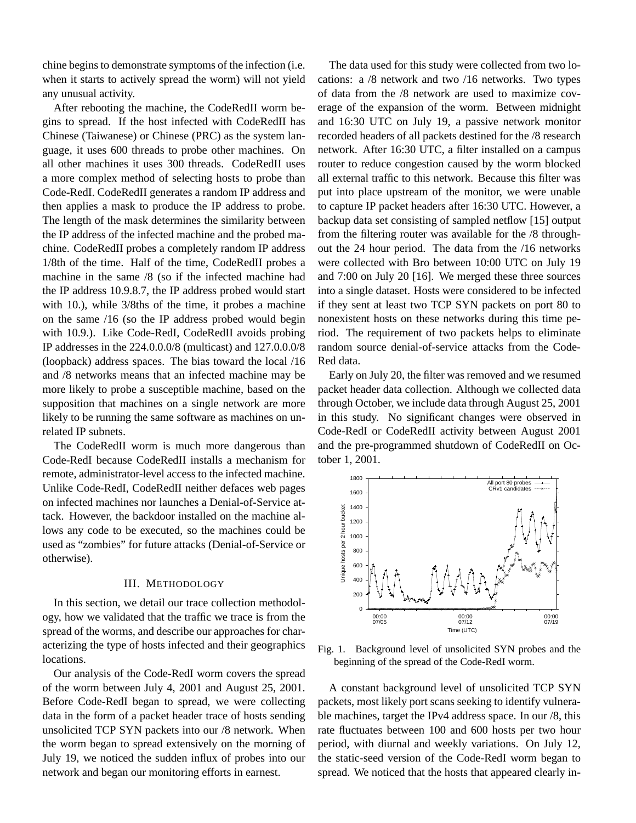chine begins to demonstrate symptoms of the infection (i.e. when it starts to actively spread the worm) will not yield any unusual activity.

After rebooting the machine, the CodeRedII worm begins to spread. If the host infected with CodeRedII has Chinese (Taiwanese) or Chinese (PRC) as the system language, it uses 600 threads to probe other machines. On all other machines it uses 300 threads. CodeRedII uses a more complex method of selecting hosts to probe than Code-RedI. CodeRedII generates a random IP address and then applies a mask to produce the IP address to probe. The length of the mask determines the similarity between the IP address of the infected machine and the probed machine. CodeRedII probes a completely random IP address 1/8th of the time. Half of the time, CodeRedII probes a machine in the same /8 (so if the infected machine had the IP address 10.9.8.7, the IP address probed would start with 10.), while 3/8ths of the time, it probes a machine on the same /16 (so the IP address probed would begin with 10.9.). Like Code-RedI, CodeRedII avoids probing IP addresses in the 224.0.0.0/8 (multicast) and 127.0.0.0/8 (loopback) address spaces. The bias toward the local /16 and /8 networks means that an infected machine may be more likely to probe a susceptible machine, based on the supposition that machines on a single network are more likely to be running the same software as machines on unrelated IP subnets.

The CodeRedII worm is much more dangerous than Code-RedI because CodeRedII installs a mechanism for remote, administrator-level access to the infected machine. Unlike Code-RedI, CodeRedII neither defaces web pages on infected machines nor launches a Denial-of-Service attack. However, the backdoor installed on the machine allows any code to be executed, so the machines could be used as "zombies" for future attacks (Denial-of-Service or otherwise).

# III. METHODOLOGY

In this section, we detail our trace collection methodology, how we validated that the traffic we trace is from the spread of the worms, and describe our approaches for characterizing the type of hosts infected and their geographics locations.

Our analysis of the Code-RedI worm covers the spread of the worm between July 4, 2001 and August 25, 2001. Before Code-RedI began to spread, we were collecting data in the form of a packet header trace of hosts sending unsolicited TCP SYN packets into our /8 network. When the worm began to spread extensively on the morning of July 19, we noticed the sudden influx of probes into our network and began our monitoring efforts in earnest.

The data used for this study were collected from two locations: a /8 network and two /16 networks. Two types of data from the /8 network are used to maximize coverage of the expansion of the worm. Between midnight and 16:30 UTC on July 19, a passive network monitor recorded headers of all packets destined for the /8 research network. After 16:30 UTC, a filter installed on a campus router to reduce congestion caused by the worm blocked all external traffic to this network. Because this filter was put into place upstream of the monitor, we were unable to capture IP packet headers after 16:30 UTC. However, a backup data set consisting of sampled netflow [15] output from the filtering router was available for the /8 throughout the 24 hour period. The data from the /16 networks were collected with Bro between 10:00 UTC on July 19 and 7:00 on July 20 [16]. We merged these three sources into a single dataset. Hosts were considered to be infected if they sent at least two TCP SYN packets on port 80 to nonexistent hosts on these networks during this time period. The requirement of two packets helps to eliminate random source denial-of-service attacks from the Code-Red data.

Early on July 20, the filter was removed and we resumed packet header data collection. Although we collected data through October, we include data through August 25, 2001 in this study. No significant changes were observed in Code-RedI or CodeRedII activity between August 2001 and the pre-programmed shutdown of CodeRedII on October 1, 2001.



Fig. 1. Background level of unsolicited SYN probes and the beginning of the spread of the Code-RedI worm.

A constant background level of unsolicited TCP SYN packets, most likely port scans seeking to identify vulnerable machines, target the IPv4 address space. In our /8, this rate fluctuates between 100 and 600 hosts per two hour period, with diurnal and weekly variations. On July 12, the static-seed version of the Code-RedI worm began to spread. We noticed that the hosts that appeared clearly in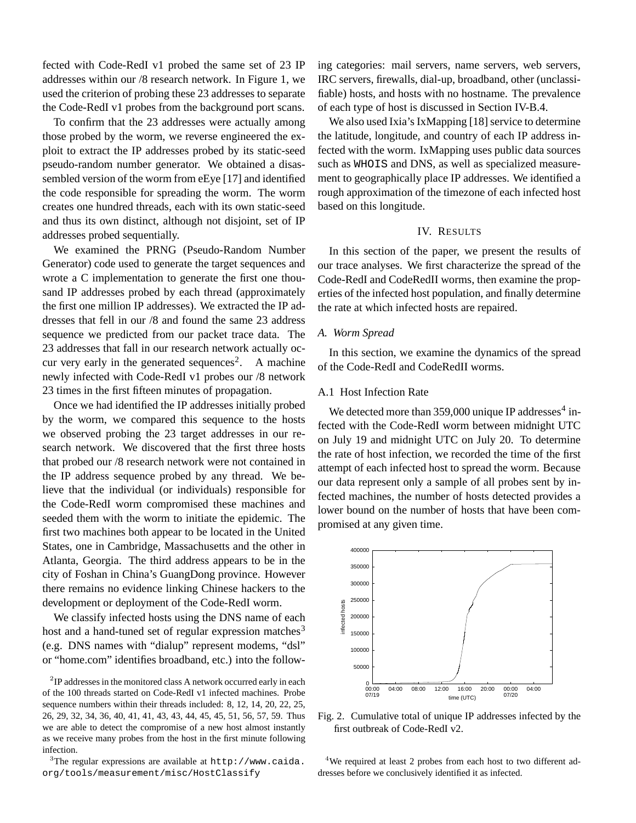fected with Code-RedI v1 probed the same set of 23 IP addresses within our /8 research network. In Figure 1, we used the criterion of probing these 23 addresses to separate the Code-RedI v1 probes from the background port scans.

To confirm that the 23 addresses were actually among those probed by the worm, we reverse engineered the exploit to extract the IP addresses probed by its static-seed pseudo-random number generator. We obtained a disassembled version of the worm from eEye [17] and identified the code responsible for spreading the worm. The worm creates one hundred threads, each with its own static-seed and thus its own distinct, although not disjoint, set of IP addresses probed sequentially.

We examined the PRNG (Pseudo-Random Number Generator) code used to generate the target sequences and wrote a C implementation to generate the first one thousand IP addresses probed by each thread (approximately the first one million IP addresses). We extracted the IP addresses that fell in our /8 and found the same 23 address sequence we predicted from our packet trace data. The 23 addresses that fall in our research network actually occur very early in the generated sequences<sup>2</sup>. A machine newly infected with Code-RedI v1 probes our /8 network 23 times in the first fifteen minutes of propagation.

Once we had identified the IP addresses initially probed by the worm, we compared this sequence to the hosts we observed probing the 23 target addresses in our research network. We discovered that the first three hosts that probed our /8 research network were not contained in the IP address sequence probed by any thread. We believe that the individual (or individuals) responsible for the Code-RedI worm compromised these machines and seeded them with the worm to initiate the epidemic. The first two machines both appear to be located in the United States, one in Cambridge, Massachusetts and the other in Atlanta, Georgia. The third address appears to be in the city of Foshan in China's GuangDong province. However there remains no evidence linking Chinese hackers to the development or deployment of the Code-RedI worm.

We classify infected hosts using the DNS name of each host and a hand-tuned set of regular expression matches<sup>3</sup> (e.g. DNS names with "dialup" represent modems, "dsl" or "home.com" identifies broadband, etc.) into the follow-

ing categories: mail servers, name servers, web servers, IRC servers, firewalls, dial-up, broadband, other (unclassifiable) hosts, and hosts with no hostname. The prevalence of each type of host is discussed in Section IV-B.4.

We also used Ixia's IxMapping  $[18]$  service to determine the latitude, longitude, and country of each IP address infected with the worm. IxMapping uses public data sources such as WHOIS and DNS, as well as specialized measurement to geographically place IP addresses. We identified a rough approximation of the timezone of each infected host based on this longitude.

#### IV. RESULTS

In this section of the paper, we present the results of our trace analyses. We first characterize the spread of the Code-RedI and CodeRedII worms, then examine the properties of the infected host population, and finally determine the rate at which infected hosts are repaired.

#### *A. Worm Spread*

In this section, we examine the dynamics of the spread of the Code-RedI and CodeRedII worms.

#### A.1 Host Infection Rate

We detected more than  $359,000$  unique IP addresses<sup>4</sup> infected with the Code-RedI worm between midnight UTC on July 19 and midnight UTC on July 20. To determine the rate of host infection, we recorded the time of the first attempt of each infected host to spread the worm. Because our data represent only a sample of all probes sent by infected machines, the number of hosts detected provides a lower bound on the number of hosts that have been compromised at any given time.



Fig. 2. Cumulative total of unique IP addresses infected by the first outbreak of Code-RedI v2.

<sup>4</sup>We required at least 2 probes from each host to two different addresses before we conclusively identified it as infected.

 $2$ IP addresses in the monitored class A network occurred early in each of the 100 threads started on Code-RedI v1 infected machines. Probe sequence numbers within their threads included: 8, 12, 14, 20, 22, 25, 26, 29, 32, 34, 36, 40, 41, 41, 43, 43, 44, 45, 45, 51, 56, 57, 59. Thus we are able to detect the compromise of a new host almost instantly as we receive many probes from the host in the first minute following infection.

 $3$ The regular expressions are available at http://www.caida. org/tools/measurement/misc/HostClassify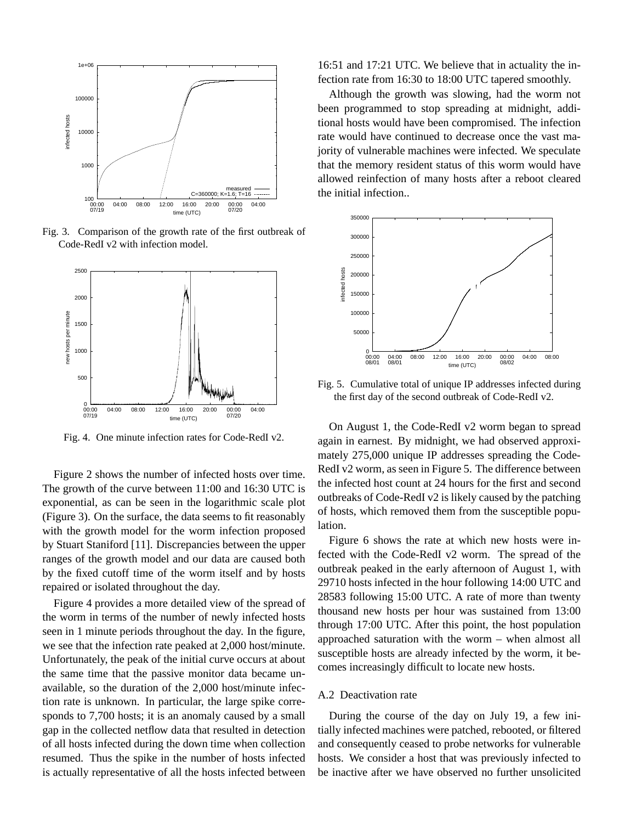

Fig. 3. Comparison of the growth rate of the first outbreak of Code-RedI v2 with infection model.



Fig. 4. One minute infection rates for Code-RedI v2.

Figure 2 shows the number of infected hosts over time. The growth of the curve between 11:00 and 16:30 UTC is exponential, as can be seen in the logarithmic scale plot (Figure 3). On the surface, the data seems to fit reasonably with the growth model for the worm infection proposed by Stuart Staniford [11]. Discrepancies between the upper ranges of the growth model and our data are caused both by the fixed cutoff time of the worm itself and by hosts repaired or isolated throughout the day.

Figure 4 provides a more detailed view of the spread of the worm in terms of the number of newly infected hosts seen in 1 minute periods throughout the day. In the figure, we see that the infection rate peaked at 2,000 host/minute. Unfortunately, the peak of the initial curve occurs at about the same time that the passive monitor data became unavailable, so the duration of the 2,000 host/minute infection rate is unknown. In particular, the large spike corresponds to 7,700 hosts; it is an anomaly caused by a small gap in the collected netflow data that resulted in detection of all hosts infected during the down time when collection resumed. Thus the spike in the number of hosts infected is actually representative of all the hosts infected between 16:51 and 17:21 UTC. We believe that in actuality the infection rate from 16:30 to 18:00 UTC tapered smoothly.

Although the growth was slowing, had the worm not been programmed to stop spreading at midnight, additional hosts would have been compromised. The infection rate would have continued to decrease once the vast majority of vulnerable machines were infected. We speculate that the memory resident status of this worm would have allowed reinfection of many hosts after a reboot cleared the initial infection



Fig. 5. Cumulative total of unique IP addresses infected during the first day of the second outbreak of Code-RedI v2.

On August 1, the Code-RedI v2 worm began to spread again in earnest. By midnight, we had observed approximately 275,000 unique IP addresses spreading the Code-RedI v2 worm, as seen in Figure 5. The difference between the infected host count at 24 hours for the first and second outbreaks of Code-RedI v2 is likely caused by the patching of hosts, which removed them from the susceptible population.

Figure 6 shows the rate at which new hosts were infected with the Code-RedI v2 worm. The spread of the outbreak peaked in the early afternoon of August 1, with 29710 hosts infected in the hour following 14:00 UTC and 28583 following 15:00 UTC. A rate of more than twenty thousand new hosts per hour was sustained from 13:00 through 17:00 UTC. After this point, the host population approached saturation with the worm – when almost all susceptible hosts are already infected by the worm, it becomes increasingly difficult to locate new hosts.

# A.2 Deactivation rate

During the course of the day on July 19, a few initially infected machines were patched, rebooted, or filtered and consequently ceased to probe networks for vulnerable hosts. We consider a host that was previously infected to be inactive after we have observed no further unsolicited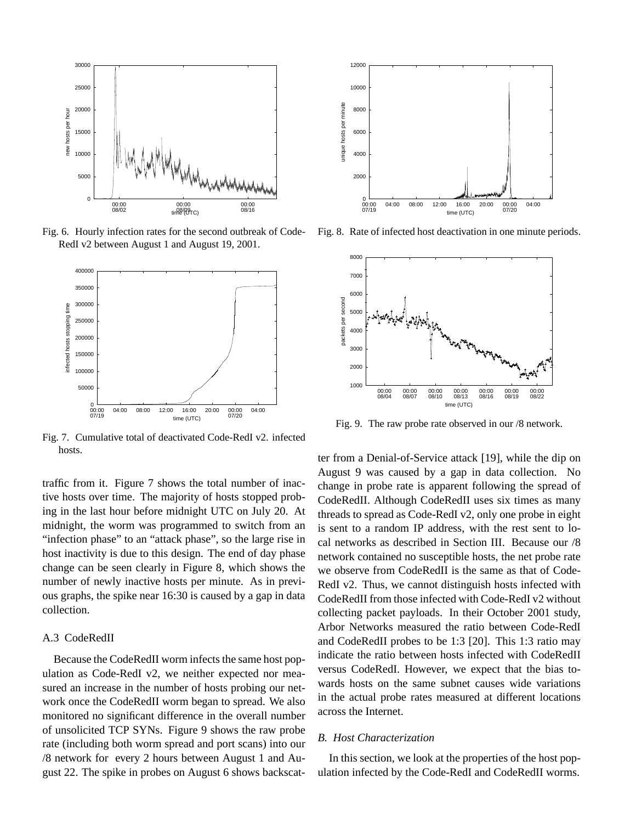

Fig. 6. Hourly infection rates for the second outbreak of Code-RedI v2 between August 1 and August 19, 2001.



Fig. 7. Cumulative total of deactivated Code-RedI v2. infected hosts.

traffic from it. Figure 7 shows the total number of inactive hosts over time. The majority of hosts stopped probing in the last hour before midnight UTC on July 20. At midnight, the worm was programmed to switch from an "infection phase" to an "attack phase", so the large rise in host inactivity is due to this design. The end of day phase change can be seen clearly in Figure 8, which shows the number of newly inactive hosts per minute. As in previous graphs, the spike near 16:30 is caused by a gap in data collection.

#### A.3 CodeRedII

Because the CodeRedII worm infects the same host population as Code-RedI v2, we neither expected nor measured an increase in the number of hosts probing our network once the CodeRedII worm began to spread. We also monitored no significant difference in the overall number of unsolicited TCP SYNs. Figure 9 shows the raw probe rate (including both worm spread and port scans) into our /8 network for every 2 hours between August 1 and August 22. The spike in probes on August 6 shows backscat-



Fig. 8. Rate of infected host deactivation in one minute periods.



Fig. 9. The raw probe rate observed in our /8 network.

ter from a Denial-of-Service attack [19], while the dip on August 9 was caused by a gap in data collection. No change in probe rate is apparent following the spread of CodeRedII. Although CodeRedII uses six times as many threads to spread as Code-RedI v2, only one probe in eight is sent to a random IP address, with the rest sent to local networks as described in Section III. Because our /8 network contained no susceptible hosts, the net probe rate we observe from CodeRedII is the same as that of Code-RedI v2. Thus, we cannot distinguish hosts infected with CodeRedII from those infected with Code-RedI v2 without collecting packet payloads. In their October 2001 study, Arbor Networks measured the ratio between Code-RedI and CodeRedII probes to be 1:3 [20]. This 1:3 ratio may indicate the ratio between hosts infected with CodeRedII versus CodeRedI. However, we expect that the bias towards hosts on the same subnet causes wide variations in the actual probe rates measured at different locations across the Internet.

#### *B. Host Characterization*

In this section, we look at the properties of the host population infected by the Code-RedI and CodeRedII worms.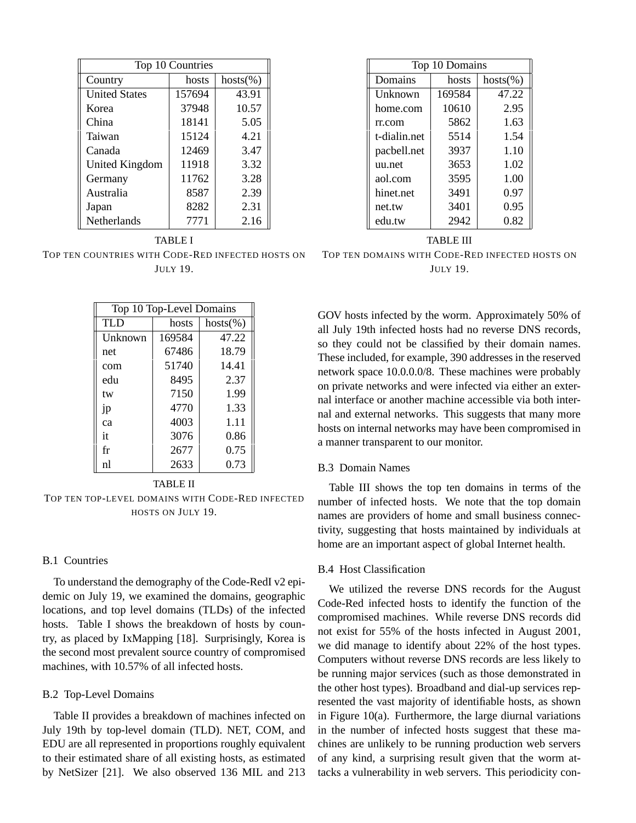| Top 10 Countries     |        |             |  |
|----------------------|--------|-------------|--|
| Country              | hosts  | $hosts(\%)$ |  |
| <b>United States</b> | 157694 | 43.91       |  |
| Korea                | 37948  | 10.57       |  |
| China                | 18141  | 5.05        |  |
| Taiwan               | 15124  | 4.21        |  |
| Canada               | 12469  | 3.47        |  |
| United Kingdom       | 11918  | 3.32        |  |
| Germany              | 11762  | 3.28        |  |
| Australia            | 8587   | 2.39        |  |
| Japan                | 8282   | 2.31        |  |
| Netherlands          | 7771   | 2.16        |  |

TABLE I TOP TEN COUNTRIES WITH CODE-RED INFECTED HOSTS ON JULY 19.

| Top 10 Top-Level Domains |        |             |
|--------------------------|--------|-------------|
| TLD                      | hosts  | $hosts(\%)$ |
| Unknown                  | 169584 | 47.22       |
| net                      | 67486  | 18.79       |
| com                      | 51740  | 14.41       |
| edu                      | 8495   | 2.37        |
| tw                       | 7150   | 1.99        |
| 1 <sub>p</sub>           | 4770   | 1.33        |
| ca                       | 4003   | 1.11        |
| it                       | 3076   | 0.86        |
| fr                       | 2677   | 0.75        |
| nl                       | 2633   | 0.73        |

# TABLE II

TOP TEN TOP-LEVEL DOMAINS WITH CODE-RED INFECTED HOSTS ON JULY 19.

# B.1 Countries

To understand the demography of the Code-RedI v2 epidemic on July 19, we examined the domains, geographic locations, and top level domains (TLDs) of the infected hosts. Table I shows the breakdown of hosts by country, as placed by IxMapping [18]. Surprisingly, Korea is the second most prevalent source country of compromised machines, with 10.57% of all infected hosts.

#### B.2 Top-Level Domains

Table II provides a breakdown of machines infected on July 19th by top-level domain (TLD). NET, COM, and EDU are all represented in proportions roughly equivalent to their estimated share of all existing hosts, as estimated by NetSizer [21]. We also observed 136 MIL and 213

| Top 10 Domains |        |             |  |
|----------------|--------|-------------|--|
| Domains        | hosts  | $hosts(\%)$ |  |
| Unknown        | 169584 | 47.22       |  |
| home.com       | 10610  | 2.95        |  |
| rr.com         | 5862   | 1.63        |  |
| t-dialin.net   | 5514   | 1.54        |  |
| pacbell.net    | 3937   | 1.10        |  |
| uu.net         | 3653   | 1.02        |  |
| aol.com        | 3595   | 1.00        |  |
| hinet.net      | 3491   | 0.97        |  |
| net.tw         | 3401   | 0.95        |  |
| edu.tw         | 2942   | 0.82        |  |

TABLE III TOP TEN DOMAINS WITH CODE-RED INFECTED HOSTS ON JULY 19.

GOV hosts infected by the worm. Approximately 50% of all July 19th infected hosts had no reverse DNS records, so they could not be classified by their domain names. These included, for example, 390 addresses in the reserved network space 10.0.0.0/8. These machines were probably on private networks and were infected via either an external interface or another machine accessible via both internal and external networks. This suggests that many more hosts on internal networks may have been compromised in a manner transparent to our monitor.

# B.3 Domain Names

Table III shows the top ten domains in terms of the number of infected hosts. We note that the top domain names are providers of home and small business connectivity, suggesting that hosts maintained by individuals at home are an important aspect of global Internet health.

# B.4 Host Classification

We utilized the reverse DNS records for the August Code-Red infected hosts to identify the function of the compromised machines. While reverse DNS records did not exist for 55% of the hosts infected in August 2001, we did manage to identify about 22% of the host types. Computers without reverse DNS records are less likely to be running major services (such as those demonstrated in the other host types). Broadband and dial-up services represented the vast majority of identifiable hosts, as shown in Figure 10(a). Furthermore, the large diurnal variations in the number of infected hosts suggest that these machines are unlikely to be running production web servers of any kind, a surprising result given that the worm attacks a vulnerability in web servers. This periodicity con-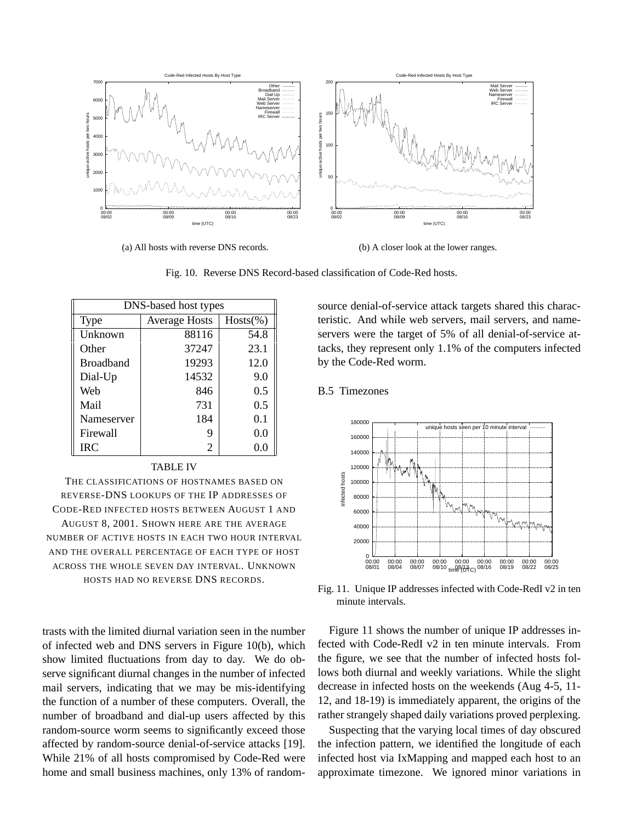

(a) All hosts with reverse DNS records.

(b) A closer look at the lower ranges.

Fig. 10. Reverse DNS Record-based classification of Code-Red hosts.

| DNS-based host types |                      |             |
|----------------------|----------------------|-------------|
| Type                 | <b>Average Hosts</b> | $Hosts(\%)$ |
| Unknown              | 88116                | 54.8        |
| Other                | 37247                | 23.1        |
| <b>Broadband</b>     | 19293                | 12.0        |
| Dial-Up              | 14532                | 9.0         |
| Web                  | 846                  | 0.5         |
| Mail                 | 731                  | 0.5         |
| Nameserver           | 184                  | 0.1         |
| Firewall             | 9                    | 0.0         |
| <b>IRC</b>           | 2                    | 0.0         |

#### TABLE IV

THE CLASSIFICATIONS OF HOSTNAMES BASED ON REVERSE-DNS LOOKUPS OF THE IP ADDRESSES OF CODE-RED INFECTED HOSTS BETWEEN AUGUST 1 AND AUGUST 8, 2001. SHOWN HERE ARE THE AVERAGE NUMBER OF ACTIVE HOSTS IN EACH TWO HOUR INTERVAL AND THE OVERALL PERCENTAGE OF EACH TYPE OF HOST ACROSS THE WHOLE SEVEN DAY INTERVAL. UNKNOWN HOSTS HAD NO REVERSE DNS RECORDS.

trasts with the limited diurnal variation seen in the number of infected web and DNS servers in Figure 10(b), which show limited fluctuations from day to day. We do observe significant diurnal changes in the number of infected mail servers, indicating that we may be mis-identifying the function of a number of these computers. Overall, the number of broadband and dial-up users affected by this random-source worm seems to significantly exceed those affected by random-source denial-of-service attacks [19]. While 21% of all hosts compromised by Code-Red were home and small business machines, only 13% of randomsource denial-of-service attack targets shared this characteristic. And while web servers, mail servers, and nameservers were the target of 5% of all denial-of-service attacks, they represent only 1.1% of the computers infected by the Code-Red worm.

# B.5 Timezones



Fig. 11. Unique IP addresses infected with Code-RedI v2 in ten minute intervals.

Figure 11 shows the number of unique IP addresses infected with Code-RedI v2 in ten minute intervals. From the figure, we see that the number of infected hosts follows both diurnal and weekly variations. While the slight decrease in infected hosts on the weekends (Aug 4-5, 11- 12, and 18-19) is immediately apparent, the origins of the rather strangely shaped daily variations proved perplexing.

Suspecting that the varying local times of day obscured the infection pattern, we identified the longitude of each infected host via IxMapping and mapped each host to an approximate timezone. We ignored minor variations in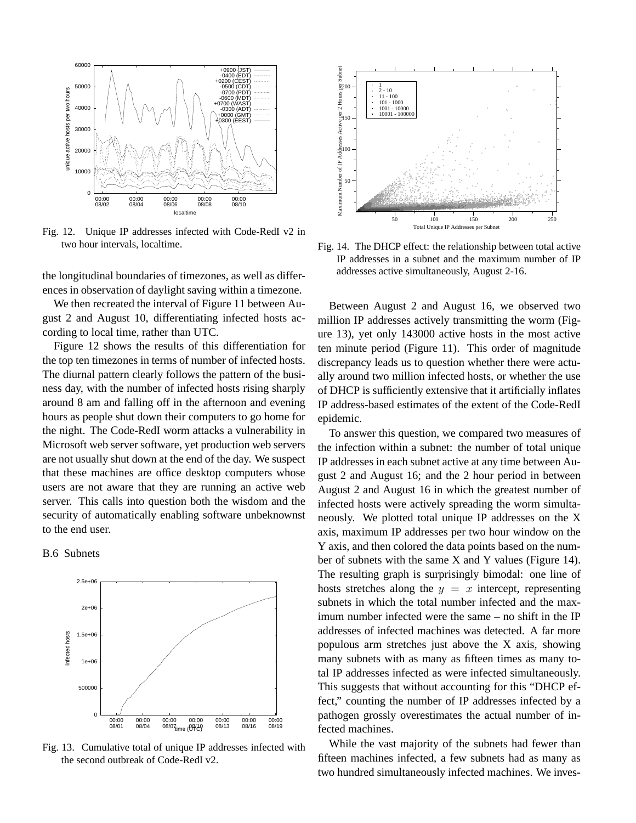

Fig. 12. Unique IP addresses infected with Code-RedI v2 in two hour intervals, localtime.

the longitudinal boundaries of timezones, as well as differences in observation of daylight saving within a timezone.

We then recreated the interval of Figure 11 between August 2 and August 10, differentiating infected hosts according to local time, rather than UTC.

Figure 12 shows the results of this differentiation for the top ten timezones in terms of number of infected hosts. The diurnal pattern clearly follows the pattern of the business day, with the number of infected hosts rising sharply around 8 am and falling off in the afternoon and evening hours as people shut down their computers to go home for the night. The Code-RedI worm attacks a vulnerability in Microsoft web server software, yet production web servers are not usually shut down at the end of the day. We suspect that these machines are office desktop computers whose users are not aware that they are running an active web server. This calls into question both the wisdom and the security of automatically enabling software unbeknownst to the end user.





Fig. 13. Cumulative total of unique IP addresses infected with the second outbreak of Code-RedI v2.



Fig. 14. The DHCP effect: the relationship between total active IP addresses in a subnet and the maximum number of IP addresses active simultaneously, August 2-16.

Between August 2 and August 16, we observed two million IP addresses actively transmitting the worm (Figure 13), yet only 143000 active hosts in the most active ten minute period (Figure 11). This order of magnitude discrepancy leads us to question whether there were actually around two million infected hosts, or whether the use of DHCP is sufficiently extensive that it artificially inflates IP address-based estimates of the extent of the Code-RedI epidemic.

To answer this question, we compared two measures of the infection within a subnet: the number of total unique IP addresses in each subnet active at any time between August 2 and August 16; and the 2 hour period in between August 2 and August 16 in which the greatest number of infected hosts were actively spreading the worm simultaneously. We plotted total unique IP addresses on the X axis, maximum IP addresses per two hour window on the Y axis, and then colored the data points based on the number of subnets with the same X and Y values (Figure 14). The resulting graph is surprisingly bimodal: one line of hosts stretches along the  $y = x$  intercept, representing subnets in which the total number infected and the maximum number infected were the same – no shift in the IP addresses of infected machines was detected. A far more populous arm stretches just above the X axis, showing many subnets with as many as fifteen times as many total IP addresses infected as were infected simultaneously. This suggests that without accounting for this "DHCP effect," counting the number of IP addresses infected by a pathogen grossly overestimates the actual number of infected machines.

While the vast majority of the subnets had fewer than fifteen machines infected, a few subnets had as many as two hundred simultaneously infected machines. We inves-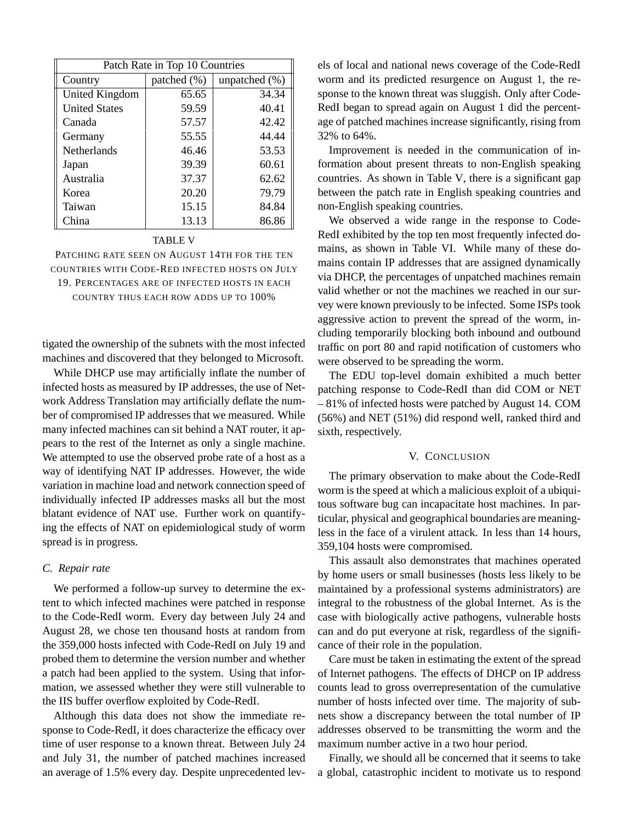| Patch Rate in Top 10 Countries |                 |                  |  |
|--------------------------------|-----------------|------------------|--|
| Country                        | patched $(\% )$ | unpatched $(\%)$ |  |
| <b>United Kingdom</b>          | 65.65           | 34.34            |  |
| <b>United States</b>           | 59.59           | 40.41            |  |
| Canada                         | 57.57           | 42.42            |  |
| Germany                        | 55.55           | 44.44            |  |
| <b>Netherlands</b>             | 46.46           | 53.53            |  |
| Japan                          | 39.39           | 60.61            |  |
| Australia                      | 37.37           | 62.62            |  |
| Korea                          | 20.20           | 79.79            |  |
| Taiwan                         | 15.15           | 84.84            |  |
| China                          | 13.13           | 86.86            |  |

# TABLE V

PATCHING RATE SEEN ON AUGUST 14TH FOR THE TEN COUNTRIES WITH CODE-RED INFECTED HOSTS ON JULY 19. PERCENTAGES ARE OF INFECTED HOSTS IN EACH COUNTRY THUS EACH ROW ADDS UP TO 100%

tigated the ownership of the subnets with the most infected machines and discovered that they belonged to Microsoft.

While DHCP use may artificially inflate the number of infected hosts as measured by IP addresses, the use of Network Address Translation may artificially deflate the number of compromised IP addresses that we measured. While many infected machines can sit behind a NAT router, it appears to the rest of the Internet as only a single machine. We attempted to use the observed probe rate of a host as a way of identifying NAT IP addresses. However, the wide variation in machine load and network connection speed of individually infected IP addresses masks all but the most blatant evidence of NAT use. Further work on quantifying the effects of NAT on epidemiological study of worm spread is in progress.

# *C. Repair rate*

We performed a follow-up survey to determine the extent to which infected machines were patched in response to the Code-RedI worm. Every day between July 24 and August 28, we chose ten thousand hosts at random from the 359,000 hosts infected with Code-RedI on July 19 and probed them to determine the version number and whether a patch had been applied to the system. Using that information, we assessed whether they were still vulnerable to the IIS buffer overflow exploited by Code-RedI.

Although this data does not show the immediate response to Code-RedI, it does characterize the efficacy over time of user response to a known threat. Between July 24 and July 31, the number of patched machines increased an average of 1.5% every day. Despite unprecedented levels of local and national news coverage of the Code-RedI worm and its predicted resurgence on August 1, the response to the known threat was sluggish. Only after Code-RedI began to spread again on August 1 did the percentage of patched machines increase significantly, rising from 32% to 64%.

Improvement is needed in the communication of information about present threats to non-English speaking countries. As shown in Table V, there is a significant gap between the patch rate in English speaking countries and non-English speaking countries.

We observed a wide range in the response to Code-RedI exhibited by the top ten most frequently infected domains, as shown in Table VI. While many of these domains contain IP addresses that are assigned dynamically via DHCP, the percentages of unpatched machines remain valid whether or not the machines we reached in our survey were known previously to be infected. Some ISPs took aggressive action to prevent the spread of the worm, including temporarily blocking both inbound and outbound traffic on port 80 and rapid notification of customers who were observed to be spreading the worm.

The EDU top-level domain exhibited a much better patching response to Code-RedI than did COM or NET – 81% of infected hosts were patched by August 14. COM (56%) and NET (51%) did respond well, ranked third and sixth, respectively.

#### V. CONCLUSION

The primary observation to make about the Code-RedI worm is the speed at which a malicious exploit of a ubiquitous software bug can incapacitate host machines. In particular, physical and geographical boundaries are meaningless in the face of a virulent attack. In less than 14 hours, 359,104 hosts were compromised.

This assault also demonstrates that machines operated by home users or small businesses (hosts less likely to be maintained by a professional systems administrators) are integral to the robustness of the global Internet. As is the case with biologically active pathogens, vulnerable hosts can and do put everyone at risk, regardless of the significance of their role in the population.

Care must be taken in estimating the extent of the spread of Internet pathogens. The effects of DHCP on IP address counts lead to gross overrepresentation of the cumulative number of hosts infected over time. The majority of subnets show a discrepancy between the total number of IP addresses observed to be transmitting the worm and the maximum number active in a two hour period.

Finally, we should all be concerned that it seems to take a global, catastrophic incident to motivate us to respond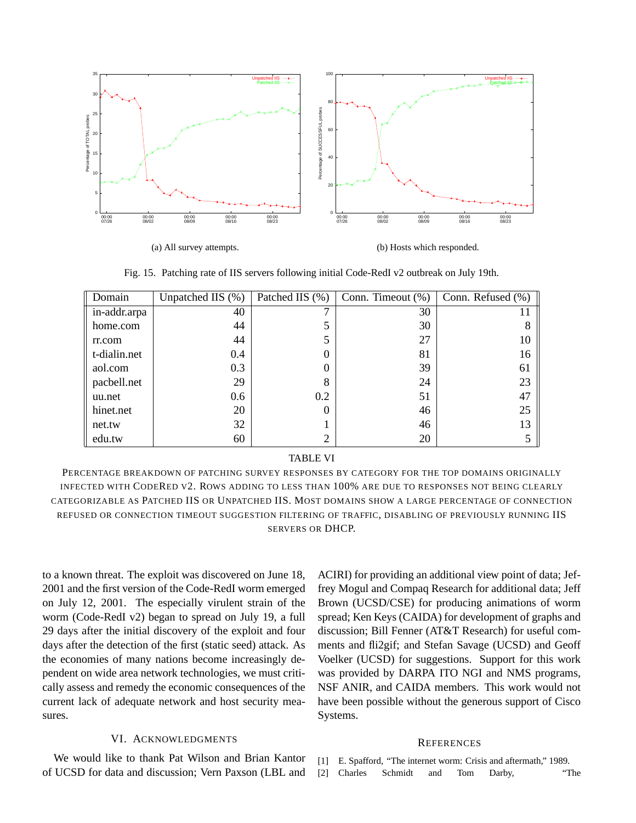

(a) All survey attempts.

(b) Hosts which responded.

Fig. 15. Patching rate of IIS servers following initial Code-RedI v2 outbreak on July 19th.

| Domain       | Unpatched IIS $(\%)$ | Patched IIS (%) | Conn. Timeout $(\%)$ | Conn. Refused (%) |
|--------------|----------------------|-----------------|----------------------|-------------------|
| in-addr.arpa | 40                   |                 | 30                   | 11                |
| home.com     | 44                   |                 | 30                   | 8                 |
| rr.com       | 44                   |                 | 27                   | 10                |
| t-dialin.net | 0.4                  | 0               | 81                   | 16                |
| aol.com      | 0.3                  |                 | 39                   | 61                |
| pacbell.net  | 29                   | 8               | 24                   | 23                |
| uu.net       | 0.6                  | 0.2             | 51                   | 47                |
| hinet.net    | 20                   | 0               | 46                   | 25                |
| net.tw       | 32                   |                 | 46                   | 13                |
| edu.tw       | 60                   | ∍               | 20                   |                   |

#### TABLE VI

PERCENTAGE BREAKDOWN OF PATCHING SURVEY RESPONSES BY CATEGORY FOR THE TOP DOMAINS ORIGINALLY INFECTED WITH CODERED V2. ROWS ADDING TO LESS THAN 100% ARE DUE TO RESPONSES NOT BEING CLEARLY CATEGORIZABLE AS PATCHED IIS OR UNPATCHED IIS. MOST DOMAINS SHOW A LARGE PERCENTAGE OF CONNECTION REFUSED OR CONNECTION TIMEOUT SUGGESTION FILTERING OF TRAFFIC, DISABLING OF PREVIOUSLY RUNNING IIS SERVERS OR DHCP.

to a known threat. The exploit was discovered on June 18, 2001 and the first version of the Code-RedI worm emerged on July 12, 2001. The especially virulent strain of the worm (Code-RedI v2) began to spread on July 19, a full 29 days after the initial discovery of the exploit and four days after the detection of the first (static seed) attack. As the economies of many nations become increasingly dependent on wide area network technologies, we must critically assess and remedy the economic consequences of the current lack of adequate network and host security measures.

# VI. ACKNOWLEDGMENTS

We would like to thank Pat Wilson and Brian Kantor of UCSD for data and discussion; Vern Paxson (LBL and

ACIRI) for providing an additional view point of data; Jeffrey Mogul and Compaq Research for additional data; Jeff Brown (UCSD/CSE) for producing animations of worm spread; Ken Keys (CAIDA) for development of graphs and discussion; Bill Fenner (AT&T Research) for useful comments and fli2gif; and Stefan Savage (UCSD) and Geoff Voelker (UCSD) for suggestions. Support for this work was provided by DARPA ITO NGI and NMS programs, NSF ANIR, and CAIDA members. This work would not have been possible without the generous support of Cisco Systems.

#### **REFERENCES**